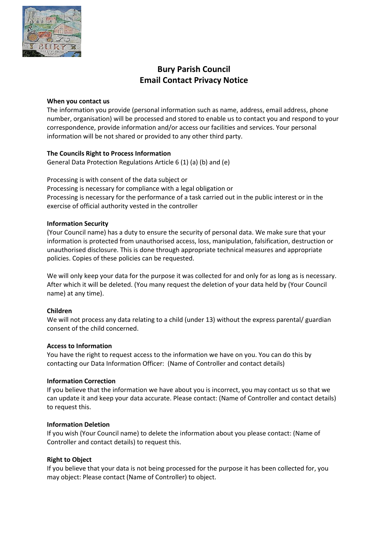

# **Bury Parish Council Email Contact Privacy Notice**

## **When you contact us**

The information you provide (personal information such as name, address, email address, phone number, organisation) will be processed and stored to enable us to contact you and respond to your correspondence, provide information and/or access our facilities and services. Your personal information will be not shared or provided to any other third party.

# **The Councils Right to Process Information**

General Data Protection Regulations Article 6 (1) (a) (b) and (e)

Processing is with consent of the data subject or Processing is necessary for compliance with a legal obligation or Processing is necessary for the performance of a task carried out in the public interest or in the exercise of official authority vested in the controller

# **Information Security**

(Your Council name) has a duty to ensure the security of personal data. We make sure that your information is protected from unauthorised access, loss, manipulation, falsification, destruction or unauthorised disclosure. This is done through appropriate technical measures and appropriate policies. Copies of these policies can be requested.

We will only keep your data for the purpose it was collected for and only for as long as is necessary. After which it will be deleted. (You many request the deletion of your data held by (Your Council name) at any time).

## **Children**

We will not process any data relating to a child (under 13) without the express parental/ guardian consent of the child concerned.

## **Access to Information**

You have the right to request access to the information we have on you. You can do this by contacting our Data Information Officer: (Name of Controller and contact details)

# **Information Correction**

If you believe that the information we have about you is incorrect, you may contact us so that we can update it and keep your data accurate. Please contact: (Name of Controller and contact details) to request this.

## **Information Deletion**

If you wish (Your Council name) to delete the information about you please contact: (Name of Controller and contact details) to request this.

## **Right to Object**

If you believe that your data is not being processed for the purpose it has been collected for, you may object: Please contact (Name of Controller) to object.